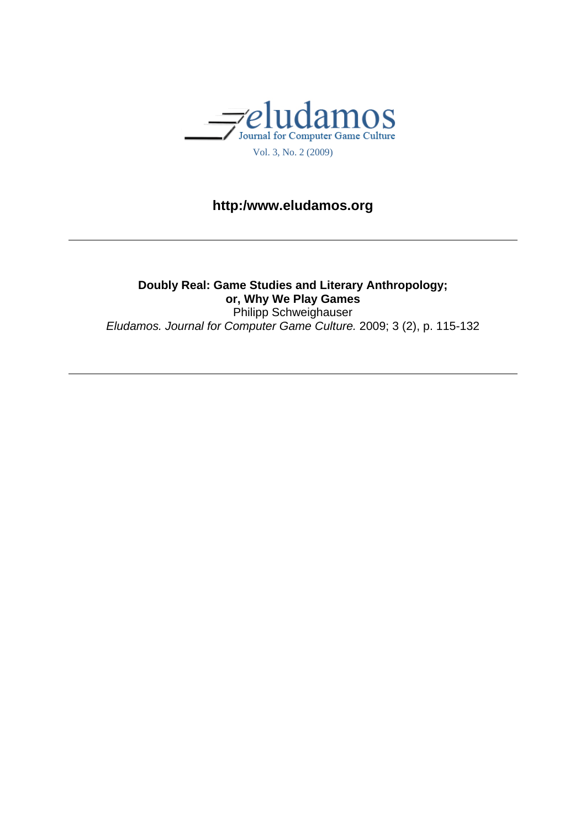

# **http:/www.eludamos.org**

### **Doubly Real: Game Studies and Literary Anthropology; or, Why We Play Games**  Philipp Schweighauser *Eludamos. Journal for Computer Game Culture.* 2009; 3 (2), p. 115-132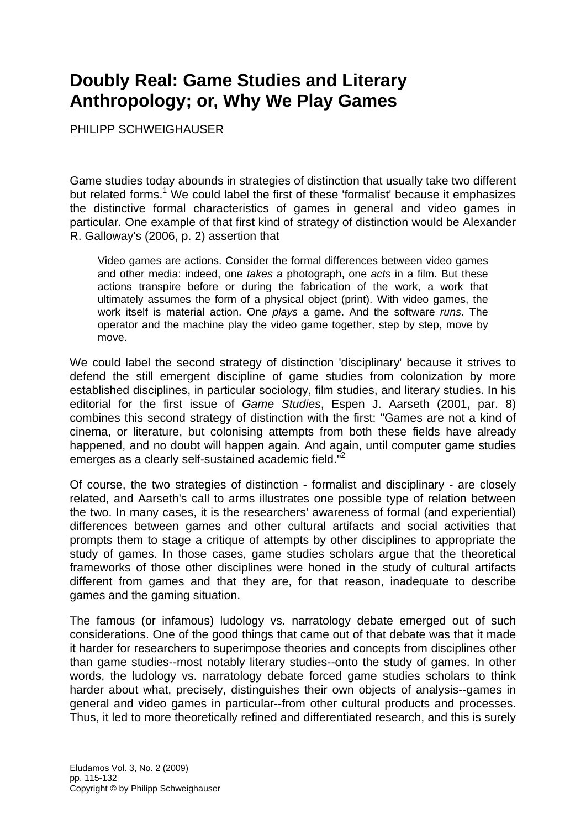# **Doubly Real: Game Studies and Literary Anthropology; or, Why We Play Games**

PHILIPP SCHWEIGHAUSER

Game studies today abounds in strategies of distinction that usually take two different but related forms.<sup>1</sup> We could label the first of these 'formalist' because it emphasizes the distinctive formal characteristics of games in general and video games in particular. One example of that first kind of strategy of distinction would be Alexander R. Galloway's (2006, p. 2) assertion that

Video games are actions. Consider the formal differences between video games and other media: indeed, one *takes* a photograph, one *acts* in a film. But these actions transpire before or during the fabrication of the work, a work that ultimately assumes the form of a physical object (print). With video games, the work itself is material action. One *plays* a game. And the software *runs*. The operator and the machine play the video game together, step by step, move by move.

We could label the second strategy of distinction 'disciplinary' because it strives to defend the still emergent discipline of game studies from colonization by more established disciplines, in particular sociology, film studies, and literary studies. In his editorial for the first issue of *Game Studies*, Espen J. Aarseth (2001, par. 8) combines this second strategy of distinction with the first: "Games are not a kind of cinema, or literature, but colonising attempts from both these fields have already happened, and no doubt will happen again. And again, until computer game studies emerges as a clearly self-sustained academic field."<sup>2</sup>

Of course, the two strategies of distinction - formalist and disciplinary - are closely related, and Aarseth's call to arms illustrates one possible type of relation between the two. In many cases, it is the researchers' awareness of formal (and experiential) differences between games and other cultural artifacts and social activities that prompts them to stage a critique of attempts by other disciplines to appropriate the study of games. In those cases, game studies scholars argue that the theoretical frameworks of those other disciplines were honed in the study of cultural artifacts different from games and that they are, for that reason, inadequate to describe games and the gaming situation.

The famous (or infamous) ludology vs. narratology debate emerged out of such considerations. One of the good things that came out of that debate was that it made it harder for researchers to superimpose theories and concepts from disciplines other than game studies--most notably literary studies--onto the study of games. In other words, the ludology vs. narratology debate forced game studies scholars to think harder about what, precisely, distinguishes their own objects of analysis--games in general and video games in particular--from other cultural products and processes. Thus, it led to more theoretically refined and differentiated research, and this is surely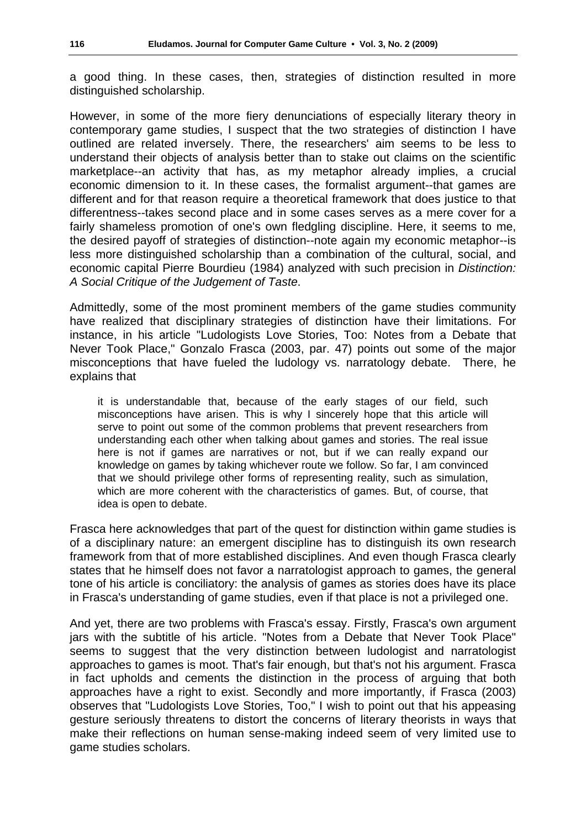a good thing. In these cases, then, strategies of distinction resulted in more distinguished scholarship.

However, in some of the more fiery denunciations of especially literary theory in contemporary game studies, I suspect that the two strategies of distinction I have outlined are related inversely. There, the researchers' aim seems to be less to understand their objects of analysis better than to stake out claims on the scientific marketplace--an activity that has, as my metaphor already implies, a crucial economic dimension to it. In these cases, the formalist argument--that games are different and for that reason require a theoretical framework that does justice to that differentness--takes second place and in some cases serves as a mere cover for a fairly shameless promotion of one's own fledgling discipline. Here, it seems to me, the desired payoff of strategies of distinction--note again my economic metaphor--is less more distinguished scholarship than a combination of the cultural, social, and economic capital Pierre Bourdieu (1984) analyzed with such precision in *Distinction: A Social Critique of the Judgement of Taste*.

Admittedly, some of the most prominent members of the game studies community have realized that disciplinary strategies of distinction have their limitations. For instance, in his article "Ludologists Love Stories, Too: Notes from a Debate that Never Took Place," Gonzalo Frasca (2003, par. 47) points out some of the major misconceptions that have fueled the ludology vs. narratology debate. There, he explains that

it is understandable that, because of the early stages of our field, such misconceptions have arisen. This is why I sincerely hope that this article will serve to point out some of the common problems that prevent researchers from understanding each other when talking about games and stories. The real issue here is not if games are narratives or not, but if we can really expand our knowledge on games by taking whichever route we follow. So far, I am convinced that we should privilege other forms of representing reality, such as simulation, which are more coherent with the characteristics of games. But, of course, that idea is open to debate.

Frasca here acknowledges that part of the quest for distinction within game studies is of a disciplinary nature: an emergent discipline has to distinguish its own research framework from that of more established disciplines. And even though Frasca clearly states that he himself does not favor a narratologist approach to games, the general tone of his article is conciliatory: the analysis of games as stories does have its place in Frasca's understanding of game studies, even if that place is not a privileged one.

And yet, there are two problems with Frasca's essay. Firstly, Frasca's own argument jars with the subtitle of his article. "Notes from a Debate that Never Took Place" seems to suggest that the very distinction between ludologist and narratologist approaches to games is moot. That's fair enough, but that's not his argument. Frasca in fact upholds and cements the distinction in the process of arguing that both approaches have a right to exist. Secondly and more importantly, if Frasca (2003) observes that "Ludologists Love Stories, Too," I wish to point out that his appeasing gesture seriously threatens to distort the concerns of literary theorists in ways that make their reflections on human sense-making indeed seem of very limited use to game studies scholars.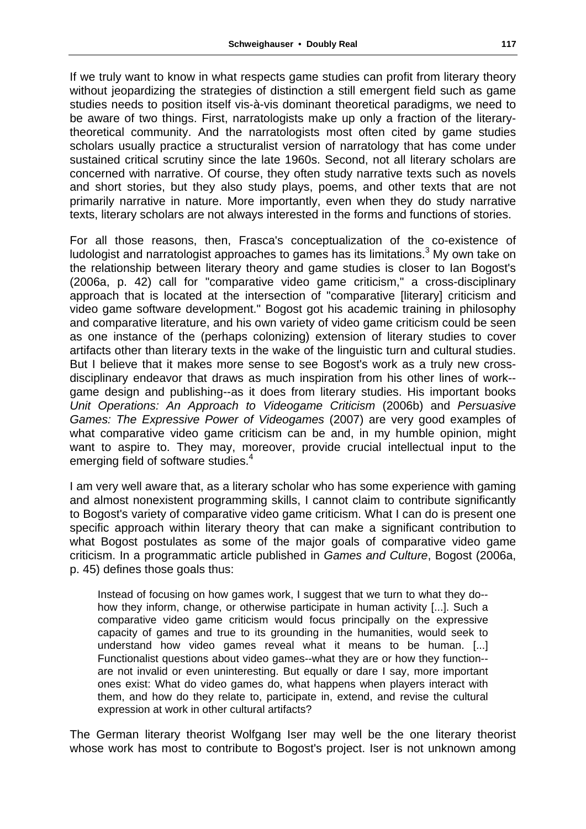If we truly want to know in what respects game studies can profit from literary theory without jeopardizing the strategies of distinction a still emergent field such as game studies needs to position itself vis-à-vis dominant theoretical paradigms, we need to be aware of two things. First, narratologists make up only a fraction of the literarytheoretical community. And the narratologists most often cited by game studies scholars usually practice a structuralist version of narratology that has come under sustained critical scrutiny since the late 1960s. Second, not all literary scholars are concerned with narrative. Of course, they often study narrative texts such as novels and short stories, but they also study plays, poems, and other texts that are not primarily narrative in nature. More importantly, even when they do study narrative texts, literary scholars are not always interested in the forms and functions of stories.

For all those reasons, then, Frasca's conceptualization of the co-existence of ludologist and narratologist approaches to games has its limitations. $3$  My own take on the relationship between literary theory and game studies is closer to Ian Bogost's (2006a, p. 42) call for "comparative video game criticism," a cross-disciplinary approach that is located at the intersection of "comparative [literary] criticism and video game software development." Bogost got his academic training in philosophy and comparative literature, and his own variety of video game criticism could be seen as one instance of the (perhaps colonizing) extension of literary studies to cover artifacts other than literary texts in the wake of the linguistic turn and cultural studies. But I believe that it makes more sense to see Bogost's work as a truly new crossdisciplinary endeavor that draws as much inspiration from his other lines of work- game design and publishing--as it does from literary studies. His important books *Unit Operations: An Approach to Videogame Criticism* (2006b) and *Persuasive Games: The Expressive Power of Videogames* (2007) are very good examples of what comparative video game criticism can be and, in my humble opinion, might want to aspire to. They may, moreover, provide crucial intellectual input to the emerging field of software studies.<sup>4</sup>

I am very well aware that, as a literary scholar who has some experience with gaming and almost nonexistent programming skills, I cannot claim to contribute significantly to Bogost's variety of comparative video game criticism. What I can do is present one specific approach within literary theory that can make a significant contribution to what Bogost postulates as some of the major goals of comparative video game criticism. In a programmatic article published in *Games and Culture*, Bogost (2006a, p. 45) defines those goals thus:

Instead of focusing on how games work, I suggest that we turn to what they do- how they inform, change, or otherwise participate in human activity [...]. Such a comparative video game criticism would focus principally on the expressive capacity of games and true to its grounding in the humanities, would seek to understand how video games reveal what it means to be human. [...] Functionalist questions about video games--what they are or how they function- are not invalid or even uninteresting. But equally or dare I say, more important ones exist: What do video games do, what happens when players interact with them, and how do they relate to, participate in, extend, and revise the cultural expression at work in other cultural artifacts?

The German literary theorist Wolfgang Iser may well be the one literary theorist whose work has most to contribute to Bogost's project. Iser is not unknown among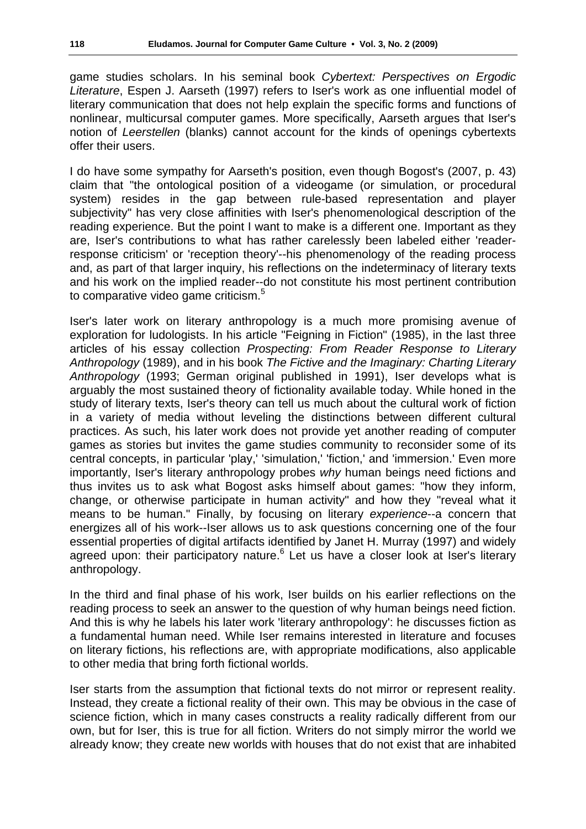game studies scholars. In his seminal book *Cybertext: Perspectives on Ergodic Literature*, Espen J. Aarseth (1997) refers to Iser's work as one influential model of literary communication that does not help explain the specific forms and functions of nonlinear, multicursal computer games. More specifically, Aarseth argues that Iser's notion of *Leerstellen* (blanks) cannot account for the kinds of openings cybertexts offer their users.

I do have some sympathy for Aarseth's position, even though Bogost's (2007, p. 43) claim that "the ontological position of a videogame (or simulation, or procedural system) resides in the gap between rule-based representation and player subjectivity" has very close affinities with Iser's phenomenological description of the reading experience. But the point I want to make is a different one. Important as they are, Iser's contributions to what has rather carelessly been labeled either 'readerresponse criticism' or 'reception theory'--his phenomenology of the reading process and, as part of that larger inquiry, his reflections on the indeterminacy of literary texts and his work on the implied reader--do not constitute his most pertinent contribution to comparative video game criticism.<sup>5</sup>

Iser's later work on literary anthropology is a much more promising avenue of exploration for ludologists. In his article "Feigning in Fiction" (1985), in the last three articles of his essay collection *Prospecting: From Reader Response to Literary Anthropology* (1989), and in his book *The Fictive and the Imaginary: Charting Literary Anthropology* (1993; German original published in 1991), Iser develops what is arguably the most sustained theory of fictionality available today. While honed in the study of literary texts, Iser's theory can tell us much about the cultural work of fiction in a variety of media without leveling the distinctions between different cultural practices. As such, his later work does not provide yet another reading of computer games as stories but invites the game studies community to reconsider some of its central concepts, in particular 'play,' 'simulation,' 'fiction,' and 'immersion.' Even more importantly, Iser's literary anthropology probes *why* human beings need fictions and thus invites us to ask what Bogost asks himself about games: "how they inform, change, or otherwise participate in human activity" and how they "reveal what it means to be human." Finally, by focusing on literary *experience*--a concern that energizes all of his work--Iser allows us to ask questions concerning one of the four essential properties of digital artifacts identified by Janet H. Murray (1997) and widely agreed upon: their participatory nature.<sup>6</sup> Let us have a closer look at Iser's literary anthropology.

In the third and final phase of his work, Iser builds on his earlier reflections on the reading process to seek an answer to the question of why human beings need fiction. And this is why he labels his later work 'literary anthropology': he discusses fiction as a fundamental human need. While Iser remains interested in literature and focuses on literary fictions, his reflections are, with appropriate modifications, also applicable to other media that bring forth fictional worlds.

Iser starts from the assumption that fictional texts do not mirror or represent reality. Instead, they create a fictional reality of their own. This may be obvious in the case of science fiction, which in many cases constructs a reality radically different from our own, but for Iser, this is true for all fiction. Writers do not simply mirror the world we already know; they create new worlds with houses that do not exist that are inhabited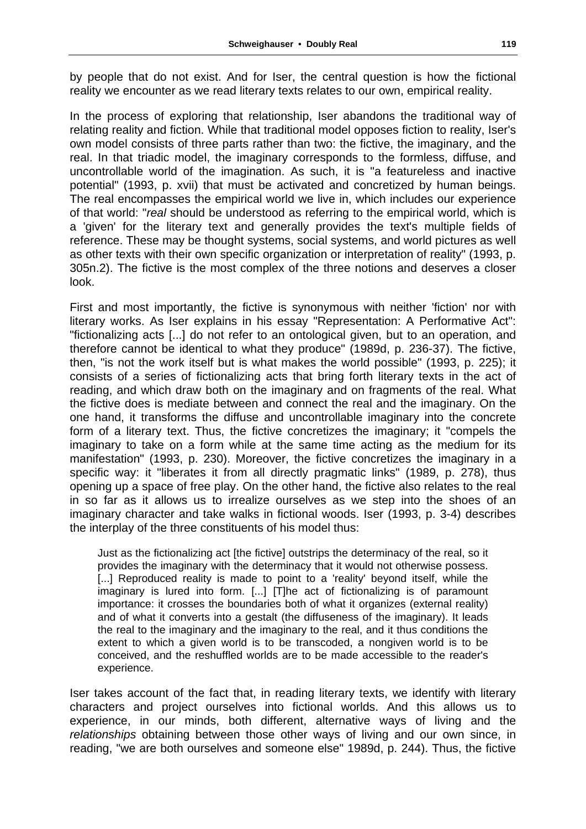by people that do not exist. And for Iser, the central question is how the fictional reality we encounter as we read literary texts relates to our own, empirical reality.

In the process of exploring that relationship, Iser abandons the traditional way of relating reality and fiction. While that traditional model opposes fiction to reality, Iser's own model consists of three parts rather than two: the fictive, the imaginary, and the real. In that triadic model, the imaginary corresponds to the formless, diffuse, and uncontrollable world of the imagination. As such, it is "a featureless and inactive potential" (1993, p. xvii) that must be activated and concretized by human beings. The real encompasses the empirical world we live in, which includes our experience of that world: "*real* should be understood as referring to the empirical world, which is a 'given' for the literary text and generally provides the text's multiple fields of reference. These may be thought systems, social systems, and world pictures as well as other texts with their own specific organization or interpretation of reality" (1993, p. 305n.2). The fictive is the most complex of the three notions and deserves a closer look.

First and most importantly, the fictive is synonymous with neither 'fiction' nor with literary works. As Iser explains in his essay "Representation: A Performative Act": "fictionalizing acts [...] do not refer to an ontological given, but to an operation, and therefore cannot be identical to what they produce" (1989d, p. 236-37). The fictive, then, "is not the work itself but is what makes the world possible" (1993, p. 225); it consists of a series of fictionalizing acts that bring forth literary texts in the act of reading, and which draw both on the imaginary and on fragments of the real. What the fictive does is mediate between and connect the real and the imaginary. On the one hand, it transforms the diffuse and uncontrollable imaginary into the concrete form of a literary text. Thus, the fictive concretizes the imaginary; it "compels the imaginary to take on a form while at the same time acting as the medium for its manifestation" (1993, p. 230). Moreover, the fictive concretizes the imaginary in a specific way: it "liberates it from all directly pragmatic links" (1989, p. 278), thus opening up a space of free play. On the other hand, the fictive also relates to the real in so far as it allows us to irrealize ourselves as we step into the shoes of an imaginary character and take walks in fictional woods. Iser (1993, p. 3-4) describes the interplay of the three constituents of his model thus:

Just as the fictionalizing act [the fictive] outstrips the determinacy of the real, so it provides the imaginary with the determinacy that it would not otherwise possess. [...] Reproduced reality is made to point to a 'reality' beyond itself, while the imaginary is lured into form. [...] [T]he act of fictionalizing is of paramount importance: it crosses the boundaries both of what it organizes (external reality) and of what it converts into a gestalt (the diffuseness of the imaginary). It leads the real to the imaginary and the imaginary to the real, and it thus conditions the extent to which a given world is to be transcoded, a nongiven world is to be conceived, and the reshuffled worlds are to be made accessible to the reader's experience.

Iser takes account of the fact that, in reading literary texts, we identify with literary characters and project ourselves into fictional worlds. And this allows us to experience, in our minds, both different, alternative ways of living and the *relationships* obtaining between those other ways of living and our own since, in reading, "we are both ourselves and someone else" 1989d, p. 244). Thus, the fictive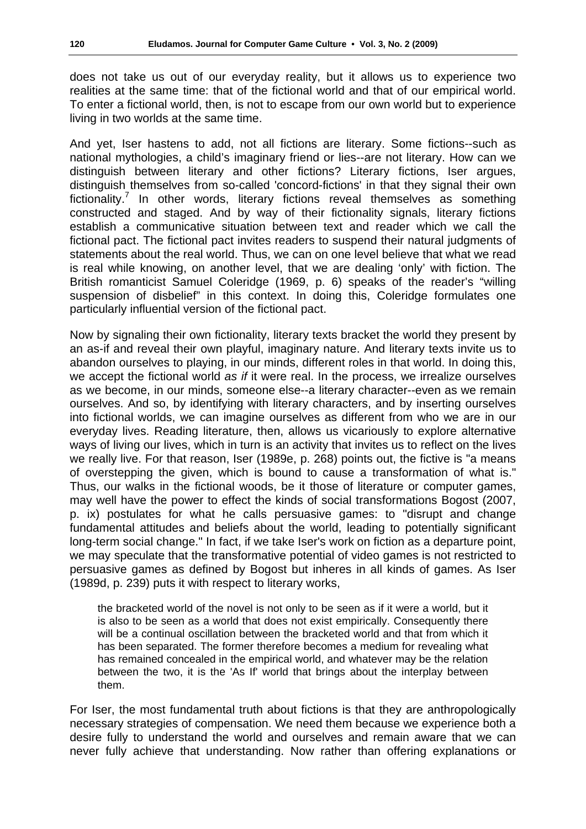does not take us out of our everyday reality, but it allows us to experience two realities at the same time: that of the fictional world and that of our empirical world. To enter a fictional world, then, is not to escape from our own world but to experience living in two worlds at the same time.

And yet, Iser hastens to add, not all fictions are literary. Some fictions--such as national mythologies, a child's imaginary friend or lies--are not literary. How can we distinguish between literary and other fictions? Literary fictions, Iser argues, distinguish themselves from so-called 'concord-fictions' in that they signal their own fictionality.<sup>7</sup> In other words, literary fictions reveal themselves as something constructed and staged. And by way of their fictionality signals, literary fictions establish a communicative situation between text and reader which we call the fictional pact. The fictional pact invites readers to suspend their natural judgments of statements about the real world. Thus, we can on one level believe that what we read is real while knowing, on another level, that we are dealing 'only' with fiction. The British romanticist Samuel Coleridge (1969, p. 6) speaks of the reader's "willing suspension of disbelief" in this context. In doing this, Coleridge formulates one particularly influential version of the fictional pact.

Now by signaling their own fictionality, literary texts bracket the world they present by an as-if and reveal their own playful, imaginary nature. And literary texts invite us to abandon ourselves to playing, in our minds, different roles in that world. In doing this, we accept the fictional world *as if* it were real. In the process, we irrealize ourselves as we become, in our minds, someone else--a literary character--even as we remain ourselves. And so, by identifying with literary characters, and by inserting ourselves into fictional worlds, we can imagine ourselves as different from who we are in our everyday lives. Reading literature, then, allows us vicariously to explore alternative ways of living our lives, which in turn is an activity that invites us to reflect on the lives we really live. For that reason, Iser (1989e, p. 268) points out, the fictive is "a means of overstepping the given, which is bound to cause a transformation of what is." Thus, our walks in the fictional woods, be it those of literature or computer games, may well have the power to effect the kinds of social transformations Bogost (2007, p. ix) postulates for what he calls persuasive games: to "disrupt and change fundamental attitudes and beliefs about the world, leading to potentially significant long-term social change." In fact, if we take Iser's work on fiction as a departure point, we may speculate that the transformative potential of video games is not restricted to persuasive games as defined by Bogost but inheres in all kinds of games. As Iser (1989d, p. 239) puts it with respect to literary works,

the bracketed world of the novel is not only to be seen as if it were a world, but it is also to be seen as a world that does not exist empirically. Consequently there will be a continual oscillation between the bracketed world and that from which it has been separated. The former therefore becomes a medium for revealing what has remained concealed in the empirical world, and whatever may be the relation between the two, it is the 'As If' world that brings about the interplay between them.

For Iser, the most fundamental truth about fictions is that they are anthropologically necessary strategies of compensation. We need them because we experience both a desire fully to understand the world and ourselves and remain aware that we can never fully achieve that understanding. Now rather than offering explanations or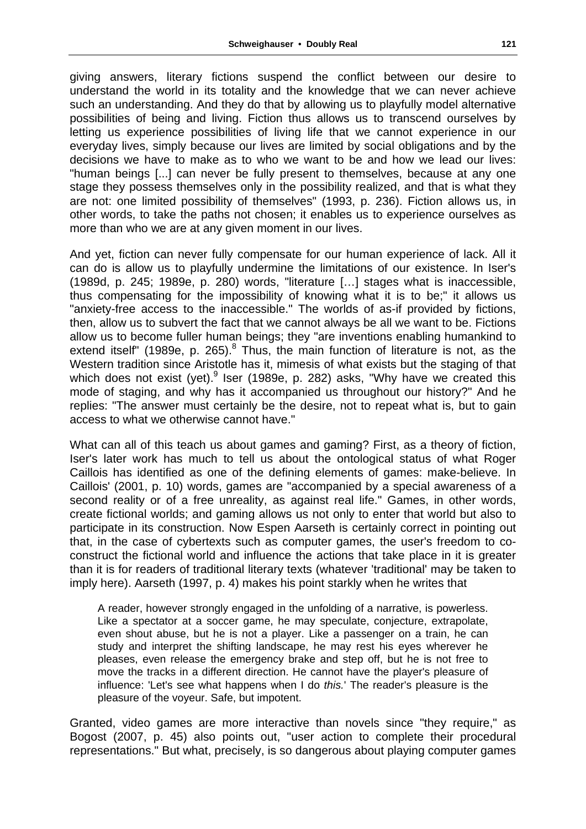giving answers, literary fictions suspend the conflict between our desire to understand the world in its totality and the knowledge that we can never achieve such an understanding. And they do that by allowing us to playfully model alternative possibilities of being and living. Fiction thus allows us to transcend ourselves by letting us experience possibilities of living life that we cannot experience in our everyday lives, simply because our lives are limited by social obligations and by the decisions we have to make as to who we want to be and how we lead our lives: "human beings [...] can never be fully present to themselves, because at any one stage they possess themselves only in the possibility realized, and that is what they are not: one limited possibility of themselves" (1993, p. 236). Fiction allows us, in other words, to take the paths not chosen; it enables us to experience ourselves as more than who we are at any given moment in our lives.

And yet, fiction can never fully compensate for our human experience of lack. All it can do is allow us to playfully undermine the limitations of our existence. In Iser's (1989d, p. 245; 1989e, p. 280) words, "literature […] stages what is inaccessible, thus compensating for the impossibility of knowing what it is to be;" it allows us "anxiety-free access to the inaccessible." The worlds of as-if provided by fictions, then, allow us to subvert the fact that we cannot always be all we want to be. Fictions allow us to become fuller human beings; they "are inventions enabling humankind to extend itself" (1989e, p. 265). $8$  Thus, the main function of literature is not, as the Western tradition since Aristotle has it, mimesis of what exists but the staging of that which does not exist (yet). $9$  Iser (1989e, p. 282) asks, "Why have we created this mode of staging, and why has it accompanied us throughout our history?" And he replies: "The answer must certainly be the desire, not to repeat what is, but to gain access to what we otherwise cannot have."

What can all of this teach us about games and gaming? First, as a theory of fiction, Iser's later work has much to tell us about the ontological status of what Roger Caillois has identified as one of the defining elements of games: make-believe. In Caillois' (2001, p. 10) words, games are "accompanied by a special awareness of a second reality or of a free unreality, as against real life." Games, in other words, create fictional worlds; and gaming allows us not only to enter that world but also to participate in its construction. Now Espen Aarseth is certainly correct in pointing out that, in the case of cybertexts such as computer games, the user's freedom to coconstruct the fictional world and influence the actions that take place in it is greater than it is for readers of traditional literary texts (whatever 'traditional' may be taken to imply here). Aarseth (1997, p. 4) makes his point starkly when he writes that

A reader, however strongly engaged in the unfolding of a narrative, is powerless. Like a spectator at a soccer game, he may speculate, conjecture, extrapolate, even shout abuse, but he is not a player. Like a passenger on a train, he can study and interpret the shifting landscape, he may rest his eyes wherever he pleases, even release the emergency brake and step off, but he is not free to move the tracks in a different direction. He cannot have the player's pleasure of influence: 'Let's see what happens when I do *this.*' The reader's pleasure is the pleasure of the voyeur. Safe, but impotent.

Granted, video games are more interactive than novels since "they require," as Bogost (2007, p. 45) also points out, "user action to complete their procedural representations." But what, precisely, is so dangerous about playing computer games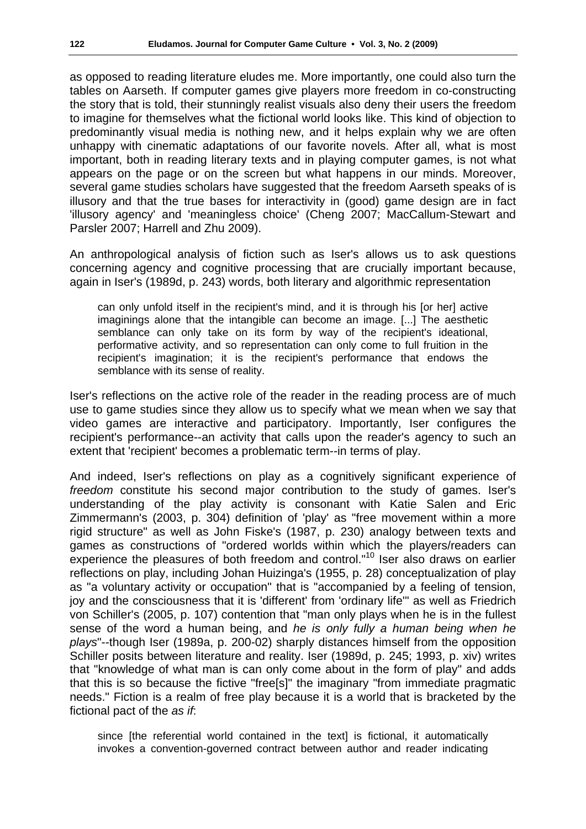as opposed to reading literature eludes me. More importantly, one could also turn the tables on Aarseth. If computer games give players more freedom in co-constructing the story that is told, their stunningly realist visuals also deny their users the freedom to imagine for themselves what the fictional world looks like. This kind of objection to predominantly visual media is nothing new, and it helps explain why we are often unhappy with cinematic adaptations of our favorite novels. After all, what is most important, both in reading literary texts and in playing computer games, is not what appears on the page or on the screen but what happens in our minds. Moreover, several game studies scholars have suggested that the freedom Aarseth speaks of is illusory and that the true bases for interactivity in (good) game design are in fact 'illusory agency' and 'meaningless choice' (Cheng 2007; MacCallum-Stewart and Parsler 2007; Harrell and Zhu 2009).

An anthropological analysis of fiction such as Iser's allows us to ask questions concerning agency and cognitive processing that are crucially important because, again in Iser's (1989d, p. 243) words, both literary and algorithmic representation

can only unfold itself in the recipient's mind, and it is through his [or her] active imaginings alone that the intangible can become an image. [...] The aesthetic semblance can only take on its form by way of the recipient's ideational, performative activity, and so representation can only come to full fruition in the recipient's imagination; it is the recipient's performance that endows the semblance with its sense of reality.

Iser's reflections on the active role of the reader in the reading process are of much use to game studies since they allow us to specify what we mean when we say that video games are interactive and participatory. Importantly, Iser configures the recipient's performance--an activity that calls upon the reader's agency to such an extent that 'recipient' becomes a problematic term--in terms of play.

And indeed, Iser's reflections on play as a cognitively significant experience of *freedom* constitute his second major contribution to the study of games. Iser's understanding of the play activity is consonant with Katie Salen and Eric Zimmermann's (2003, p. 304) definition of 'play' as "free movement within a more rigid structure" as well as John Fiske's (1987, p. 230) analogy between texts and games as constructions of "ordered worlds within which the players/readers can experience the pleasures of both freedom and control."10 Iser also draws on earlier reflections on play, including Johan Huizinga's (1955, p. 28) conceptualization of play as "a voluntary activity or occupation" that is "accompanied by a feeling of tension, joy and the consciousness that it is 'different' from 'ordinary life'" as well as Friedrich von Schiller's (2005, p. 107) contention that "man only plays when he is in the fullest sense of the word a human being, and *he is only fully a human being when he plays*"--though Iser (1989a, p. 200-02) sharply distances himself from the opposition Schiller posits between literature and reality. Iser (1989d, p. 245; 1993, p. xiv) writes that "knowledge of what man is can only come about in the form of play" and adds that this is so because the fictive "free[s]" the imaginary "from immediate pragmatic needs." Fiction is a realm of free play because it is a world that is bracketed by the fictional pact of the *as if*:

since [the referential world contained in the text] is fictional, it automatically invokes a convention-governed contract between author and reader indicating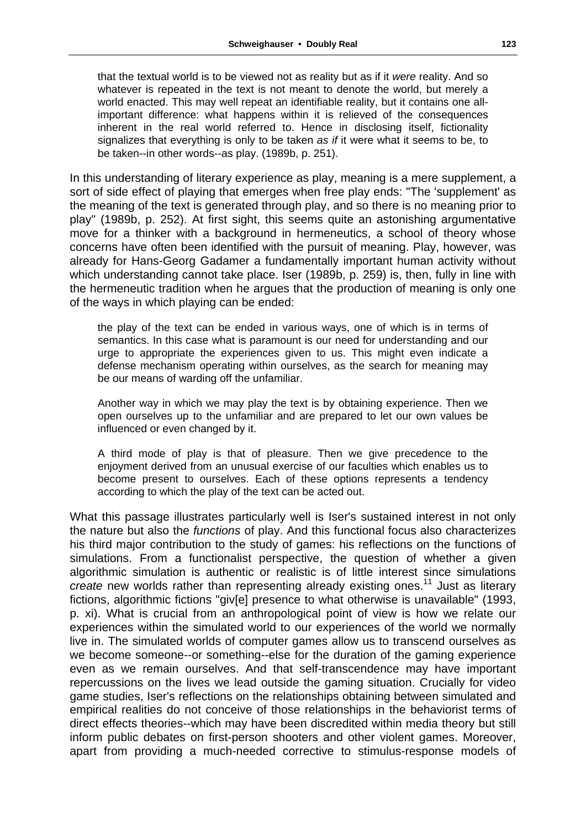that the textual world is to be viewed not as reality but as if it *were* reality. And so whatever is repeated in the text is not meant to denote the world, but merely a world enacted. This may well repeat an identifiable reality, but it contains one allimportant difference: what happens within it is relieved of the consequences inherent in the real world referred to. Hence in disclosing itself, fictionality signalizes that everything is only to be taken *as if* it were what it seems to be, to be taken--in other words--as play. (1989b, p. 251).

In this understanding of literary experience as play, meaning is a mere supplement, a sort of side effect of playing that emerges when free play ends: "The 'supplement' as the meaning of the text is generated through play, and so there is no meaning prior to play" (1989b, p. 252). At first sight, this seems quite an astonishing argumentative move for a thinker with a background in hermeneutics, a school of theory whose concerns have often been identified with the pursuit of meaning. Play, however, was already for Hans-Georg Gadamer a fundamentally important human activity without which understanding cannot take place. Iser (1989b, p. 259) is, then, fully in line with the hermeneutic tradition when he argues that the production of meaning is only one of the ways in which playing can be ended:

the play of the text can be ended in various ways, one of which is in terms of semantics. In this case what is paramount is our need for understanding and our urge to appropriate the experiences given to us. This might even indicate a defense mechanism operating within ourselves, as the search for meaning may be our means of warding off the unfamiliar.

Another way in which we may play the text is by obtaining experience. Then we open ourselves up to the unfamiliar and are prepared to let our own values be influenced or even changed by it.

A third mode of play is that of pleasure. Then we give precedence to the enjoyment derived from an unusual exercise of our faculties which enables us to become present to ourselves. Each of these options represents a tendency according to which the play of the text can be acted out.

What this passage illustrates particularly well is Iser's sustained interest in not only the nature but also the *functions* of play. And this functional focus also characterizes his third major contribution to the study of games: his reflections on the functions of simulations. From a functionalist perspective, the question of whether a given algorithmic simulation is authentic or realistic is of little interest since simulations *create* new worlds rather than representing already existing ones.11 Just as literary fictions, algorithmic fictions "giv[e] presence to what otherwise is unavailable" (1993, p. xi). What is crucial from an anthropological point of view is how we relate our experiences within the simulated world to our experiences of the world we normally live in. The simulated worlds of computer games allow us to transcend ourselves as we become someone--or something--else for the duration of the gaming experience even as we remain ourselves. And that self-transcendence may have important repercussions on the lives we lead outside the gaming situation. Crucially for video game studies, Iser's reflections on the relationships obtaining between simulated and empirical realities do not conceive of those relationships in the behaviorist terms of direct effects theories--which may have been discredited within media theory but still inform public debates on first-person shooters and other violent games. Moreover, apart from providing a much-needed corrective to stimulus-response models of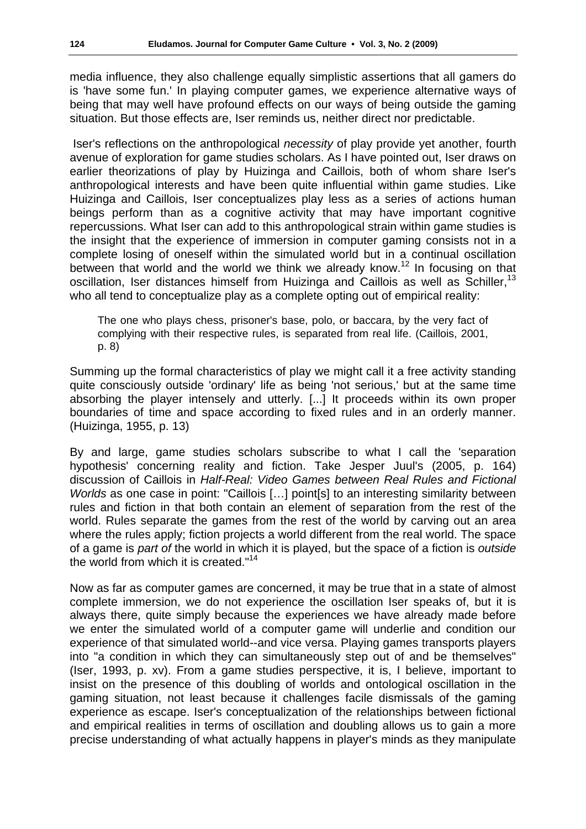media influence, they also challenge equally simplistic assertions that all gamers do is 'have some fun.' In playing computer games, we experience alternative ways of being that may well have profound effects on our ways of being outside the gaming situation. But those effects are, Iser reminds us, neither direct nor predictable.

 Iser's reflections on the anthropological *necessity* of play provide yet another, fourth avenue of exploration for game studies scholars. As I have pointed out, Iser draws on earlier theorizations of play by Huizinga and Caillois, both of whom share Iser's anthropological interests and have been quite influential within game studies. Like Huizinga and Caillois, Iser conceptualizes play less as a series of actions human beings perform than as a cognitive activity that may have important cognitive repercussions. What Iser can add to this anthropological strain within game studies is the insight that the experience of immersion in computer gaming consists not in a complete losing of oneself within the simulated world but in a continual oscillation between that world and the world we think we already know.<sup>12</sup> In focusing on that oscillation, Iser distances himself from Huizinga and Caillois as well as Schiller,<sup>13</sup> who all tend to conceptualize play as a complete opting out of empirical reality:

The one who plays chess, prisoner's base, polo, or baccara, by the very fact of complying with their respective rules, is separated from real life. (Caillois, 2001, p. 8)

Summing up the formal characteristics of play we might call it a free activity standing quite consciously outside 'ordinary' life as being 'not serious,' but at the same time absorbing the player intensely and utterly. [...] It proceeds within its own proper boundaries of time and space according to fixed rules and in an orderly manner. (Huizinga, 1955, p. 13)

By and large, game studies scholars subscribe to what I call the 'separation hypothesis' concerning reality and fiction. Take Jesper Juul's (2005, p. 164) discussion of Caillois in *Half-Real: Video Games between Real Rules and Fictional Worlds* as one case in point: "Caillois [...] point[s] to an interesting similarity between rules and fiction in that both contain an element of separation from the rest of the world. Rules separate the games from the rest of the world by carving out an area where the rules apply; fiction projects a world different from the real world. The space of a game is *part of* the world in which it is played, but the space of a fiction is *outside* the world from which it is created."<sup>14</sup>

Now as far as computer games are concerned, it may be true that in a state of almost complete immersion, we do not experience the oscillation Iser speaks of, but it is always there, quite simply because the experiences we have already made before we enter the simulated world of a computer game will underlie and condition our experience of that simulated world--and vice versa. Playing games transports players into "a condition in which they can simultaneously step out of and be themselves" (Iser, 1993, p. xv). From a game studies perspective, it is, I believe, important to insist on the presence of this doubling of worlds and ontological oscillation in the gaming situation, not least because it challenges facile dismissals of the gaming experience as escape. Iser's conceptualization of the relationships between fictional and empirical realities in terms of oscillation and doubling allows us to gain a more precise understanding of what actually happens in player's minds as they manipulate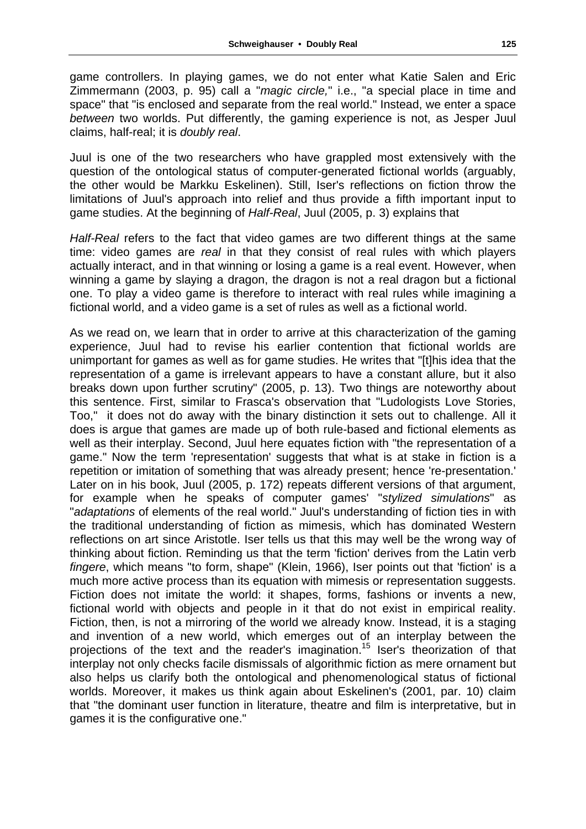game controllers. In playing games, we do not enter what Katie Salen and Eric Zimmermann (2003, p. 95) call a "*magic circle,*" i.e., "a special place in time and space" that "is enclosed and separate from the real world." Instead, we enter a space *between* two worlds. Put differently, the gaming experience is not, as Jesper Juul claims, half-real; it is *doubly real*.

Juul is one of the two researchers who have grappled most extensively with the question of the ontological status of computer-generated fictional worlds (arguably, the other would be Markku Eskelinen). Still, Iser's reflections on fiction throw the limitations of Juul's approach into relief and thus provide a fifth important input to game studies. At the beginning of *Half-Real*, Juul (2005, p. 3) explains that

*Half-Real* refers to the fact that video games are two different things at the same time: video games are *real* in that they consist of real rules with which players actually interact, and in that winning or losing a game is a real event. However, when winning a game by slaying a dragon, the dragon is not a real dragon but a fictional one. To play a video game is therefore to interact with real rules while imagining a fictional world, and a video game is a set of rules as well as a fictional world.

As we read on, we learn that in order to arrive at this characterization of the gaming experience, Juul had to revise his earlier contention that fictional worlds are unimportant for games as well as for game studies. He writes that "[t]his idea that the representation of a game is irrelevant appears to have a constant allure, but it also breaks down upon further scrutiny" (2005, p. 13). Two things are noteworthy about this sentence. First, similar to Frasca's observation that "Ludologists Love Stories, Too," it does not do away with the binary distinction it sets out to challenge. All it does is argue that games are made up of both rule-based and fictional elements as well as their interplay. Second, Juul here equates fiction with "the representation of a game." Now the term 'representation' suggests that what is at stake in fiction is a repetition or imitation of something that was already present; hence 're-presentation.' Later on in his book, Juul (2005, p. 172) repeats different versions of that argument, for example when he speaks of computer games' "*stylized simulations*" as "*adaptations* of elements of the real world." Juul's understanding of fiction ties in with the traditional understanding of fiction as mimesis, which has dominated Western reflections on art since Aristotle. Iser tells us that this may well be the wrong way of thinking about fiction. Reminding us that the term 'fiction' derives from the Latin verb *fingere*, which means "to form, shape" (Klein, 1966), Iser points out that 'fiction' is a much more active process than its equation with mimesis or representation suggests. Fiction does not imitate the world: it shapes, forms, fashions or invents a new, fictional world with objects and people in it that do not exist in empirical reality. Fiction, then, is not a mirroring of the world we already know. Instead, it is a staging and invention of a new world, which emerges out of an interplay between the projections of the text and the reader's imagination.<sup>15</sup> Iser's theorization of that interplay not only checks facile dismissals of algorithmic fiction as mere ornament but also helps us clarify both the ontological and phenomenological status of fictional worlds. Moreover, it makes us think again about Eskelinen's (2001, par. 10) claim that "the dominant user function in literature, theatre and film is interpretative, but in games it is the configurative one."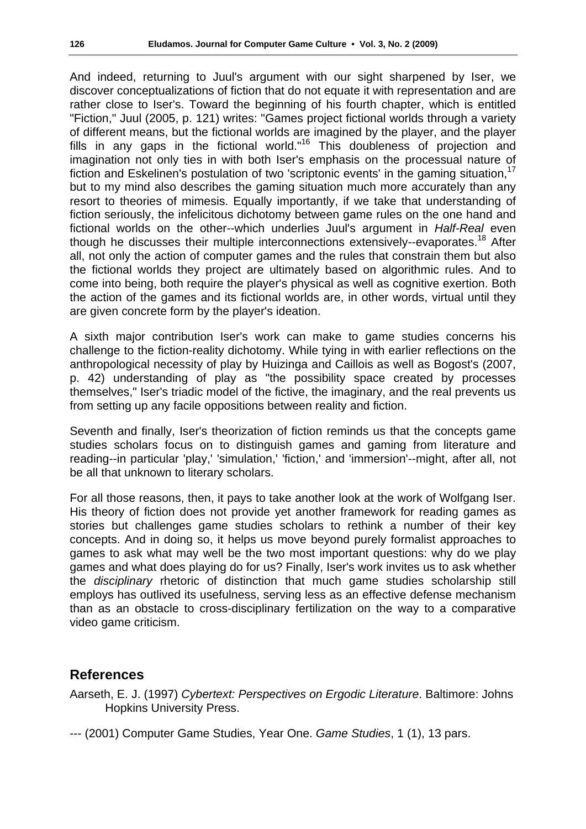And indeed, returning to Juul's argument with our sight sharpened by Iser, we discover conceptualizations of fiction that do not equate it with representation and are rather close to Iser's. Toward the beginning of his fourth chapter, which is entitled "Fiction," Juul (2005, p. 121) writes: "Games project fictional worlds through a variety of different means, but the fictional worlds are imagined by the player, and the player fills in any gaps in the fictional world."16 This doubleness of projection and imagination not only ties in with both Iser's emphasis on the processual nature of fiction and Eskelinen's postulation of two 'scriptonic events' in the gaming situation.<sup>17</sup> but to my mind also describes the gaming situation much more accurately than any resort to theories of mimesis. Equally importantly, if we take that understanding of fiction seriously, the infelicitous dichotomy between game rules on the one hand and fictional worlds on the other--which underlies Juul's argument in *Half-Real* even though he discusses their multiple interconnections extensively--evaporates.<sup>18</sup> After all, not only the action of computer games and the rules that constrain them but also the fictional worlds they project are ultimately based on algorithmic rules. And to come into being, both require the player's physical as well as cognitive exertion. Both the action of the games and its fictional worlds are, in other words, virtual until they are given concrete form by the player's ideation.

A sixth major contribution Iser's work can make to game studies concerns his challenge to the fiction-reality dichotomy. While tying in with earlier reflections on the anthropological necessity of play by Huizinga and Caillois as well as Bogost's (2007, p. 42) understanding of play as "the possibility space created by processes themselves," Iser's triadic model of the fictive, the imaginary, and the real prevents us from setting up any facile oppositions between reality and fiction.

Seventh and finally, Iser's theorization of fiction reminds us that the concepts game studies scholars focus on to distinguish games and gaming from literature and reading--in particular 'play,' 'simulation,' 'fiction,' and 'immersion'--might, after all, not be all that unknown to literary scholars.

For all those reasons, then, it pays to take another look at the work of Wolfgang Iser. His theory of fiction does not provide yet another framework for reading games as stories but challenges game studies scholars to rethink a number of their key concepts. And in doing so, it helps us move beyond purely formalist approaches to games to ask what may well be the two most important questions: why do we play games and what does playing do for us? Finally, Iser's work invites us to ask whether the *disciplinary* rhetoric of distinction that much game studies scholarship still employs has outlived its usefulness, serving less as an effective defense mechanism than as an obstacle to cross-disciplinary fertilization on the way to a comparative video game criticism.

## **References**

- Aarseth, E. J. (1997) *Cybertext: Perspectives on Ergodic Literature*. Baltimore: Johns Hopkins University Press.
- --- (2001) Computer Game Studies, Year One. *Game Studies*, 1 (1), 13 pars.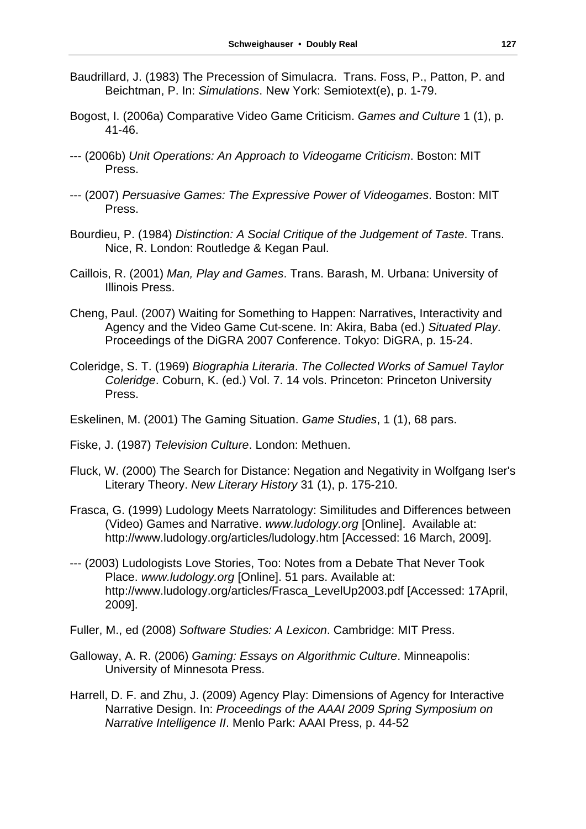- Baudrillard, J. (1983) The Precession of Simulacra. Trans. Foss, P., Patton, P. and Beichtman, P. In: *Simulations*. New York: Semiotext(e), p. 1-79.
- Bogost, I. (2006a) Comparative Video Game Criticism. *Games and Culture* 1 (1), p. 41-46.
- --- (2006b) *Unit Operations: An Approach to Videogame Criticism*. Boston: MIT Press.
- --- (2007) *Persuasive Games: The Expressive Power of Videogames*. Boston: MIT Press.
- Bourdieu, P. (1984) *Distinction: A Social Critique of the Judgement of Taste*. Trans. Nice, R. London: Routledge & Kegan Paul.
- Caillois, R. (2001) *Man, Play and Games*. Trans. Barash, M. Urbana: University of Illinois Press.
- Cheng, Paul. (2007) Waiting for Something to Happen: Narratives, Interactivity and Agency and the Video Game Cut-scene. In: Akira, Baba (ed.) *Situated Play*. Proceedings of the DiGRA 2007 Conference. Tokyo: DiGRA, p. 15-24.
- Coleridge, S. T. (1969) *Biographia Literaria*. *The Collected Works of Samuel Taylor Coleridge*. Coburn, K. (ed.) Vol. 7. 14 vols. Princeton: Princeton University Press.
- Eskelinen, M. (2001) The Gaming Situation. *Game Studies*, 1 (1), 68 pars.
- Fiske, J. (1987) *Television Culture*. London: Methuen.
- Fluck, W. (2000) The Search for Distance: Negation and Negativity in Wolfgang Iser's Literary Theory. *New Literary History* 31 (1), p. 175-210.
- Frasca, G. (1999) Ludology Meets Narratology: Similitudes and Differences between (Video) Games and Narrative. *www.ludology.org* [Online]. Available at: http://www.ludology.org/articles/ludology.htm [Accessed: 16 March, 2009].
- --- (2003) Ludologists Love Stories, Too: Notes from a Debate That Never Took Place. *www.ludology.org* [Online]. 51 pars. Available at: http://www.ludology.org/articles/Frasca\_LevelUp2003.pdf [Accessed: 17April, 2009].
- Fuller, M., ed (2008) *Software Studies: A Lexicon*. Cambridge: MIT Press.
- Galloway, A. R. (2006) *Gaming: Essays on Algorithmic Culture*. Minneapolis: University of Minnesota Press.
- Harrell, D. F. and Zhu, J. (2009) Agency Play: Dimensions of Agency for Interactive Narrative Design. In: *Proceedings of the AAAI 2009 Spring Symposium on Narrative Intelligence II*. Menlo Park: AAAI Press, p. 44-52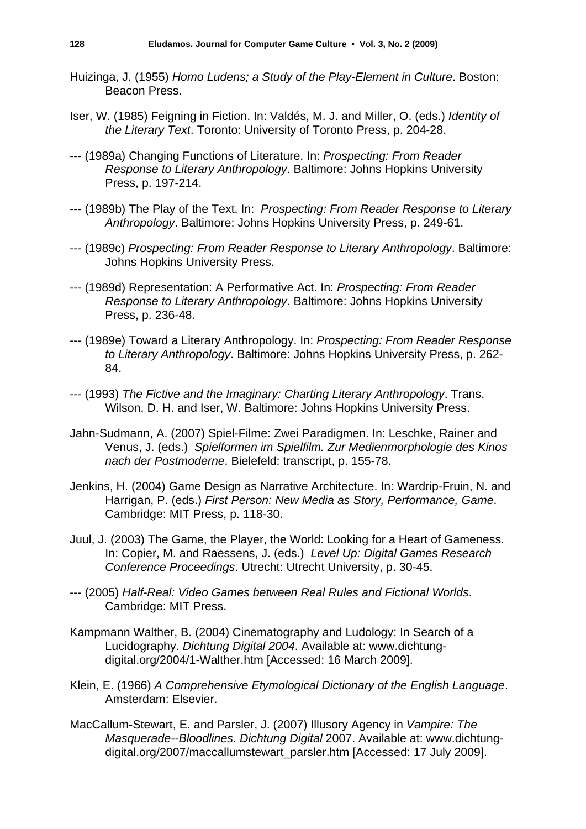- Huizinga, J. (1955) *Homo Ludens; a Study of the Play-Element in Culture*. Boston: Beacon Press.
- Iser, W. (1985) Feigning in Fiction. In: Valdés, M. J. and Miller, O. (eds.) *Identity of the Literary Text*. Toronto: University of Toronto Press, p. 204-28.
- --- (1989a) Changing Functions of Literature. In: *Prospecting: From Reader Response to Literary Anthropology*. Baltimore: Johns Hopkins University Press, p. 197-214.
- --- (1989b) The Play of the Text. In: *Prospecting: From Reader Response to Literary Anthropology*. Baltimore: Johns Hopkins University Press, p. 249-61.
- --- (1989c) *Prospecting: From Reader Response to Literary Anthropology*. Baltimore: Johns Hopkins University Press.
- --- (1989d) Representation: A Performative Act. In: *Prospecting: From Reader Response to Literary Anthropology*. Baltimore: Johns Hopkins University Press, p. 236-48.
- --- (1989e) Toward a Literary Anthropology. In: *Prospecting: From Reader Response to Literary Anthropology*. Baltimore: Johns Hopkins University Press, p. 262- 84.
- --- (1993) *The Fictive and the Imaginary: Charting Literary Anthropology*. Trans. Wilson, D. H. and Iser, W. Baltimore: Johns Hopkins University Press.
- Jahn-Sudmann, A. (2007) Spiel-Filme: Zwei Paradigmen. In: Leschke, Rainer and Venus, J. (eds.) *Spielformen im Spielfilm. Zur Medienmorphologie des Kinos nach der Postmoderne*. Bielefeld: transcript, p. 155-78.
- Jenkins, H. (2004) Game Design as Narrative Architecture. In: Wardrip-Fruin, N. and Harrigan, P. (eds.) *First Person: New Media as Story, Performance, Game*. Cambridge: MIT Press, p. 118-30.
- Juul, J. (2003) The Game, the Player, the World: Looking for a Heart of Gameness. In: Copier, M. and Raessens, J. (eds.) *Level Up: Digital Games Research Conference Proceedings*. Utrecht: Utrecht University, p. 30-45.
- --- (2005) *Half-Real: Video Games between Real Rules and Fictional Worlds*. Cambridge: MIT Press.
- Kampmann Walther, B. (2004) Cinematography and Ludology: In Search of a Lucidography. *Dichtung Digital 2004*. Available at: www.dichtungdigital.org/2004/1-Walther.htm [Accessed: 16 March 2009].
- Klein, E. (1966) *A Comprehensive Etymological Dictionary of the English Language*. Amsterdam: Elsevier.
- MacCallum-Stewart, E. and Parsler, J. (2007) Illusory Agency in *Vampire: The Masquerade--Bloodlines*. *Dichtung Digital* 2007. Available at: www.dichtungdigital.org/2007/maccallumstewart\_parsler.htm [Accessed: 17 July 2009].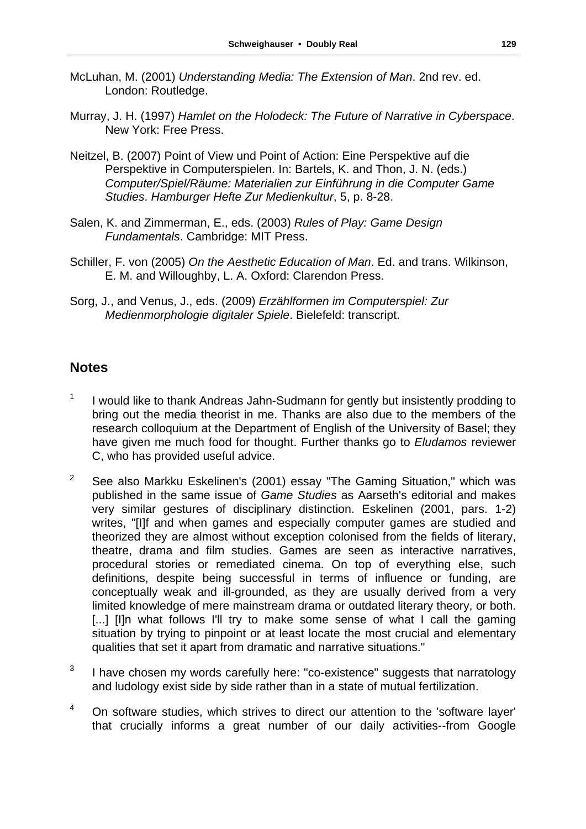- McLuhan, M. (2001) *Understanding Media: The Extension of Man*. 2nd rev. ed. London: Routledge.
- Murray, J. H. (1997) *Hamlet on the Holodeck: The Future of Narrative in Cyberspace*. New York: Free Press.
- Neitzel, B. (2007) Point of View und Point of Action: Eine Perspektive auf die Perspektive in Computerspielen. In: Bartels, K. and Thon, J. N. (eds.) *Computer/Spiel/Räume: Materialien zur Einführung in die Computer Game Studies*. *Hamburger Hefte Zur Medienkultur*, 5, p. 8-28.
- Salen, K. and Zimmerman, E., eds. (2003) *Rules of Play: Game Design Fundamentals*. Cambridge: MIT Press.
- Schiller, F. von (2005) *On the Aesthetic Education of Man*. Ed. and trans. Wilkinson, E. M. and Willoughby, L. A. Oxford: Clarendon Press.
- Sorg, J., and Venus, J., eds. (2009) *Erzählformen im Computerspiel: Zur Medienmorphologie digitaler Spiele*. Bielefeld: transcript.

### **Notes**

- 1 I would like to thank Andreas Jahn-Sudmann for gently but insistently prodding to bring out the media theorist in me. Thanks are also due to the members of the research colloquium at the Department of English of the University of Basel; they have given me much food for thought. Further thanks go to *Eludamos* reviewer C, who has provided useful advice.
- 2 See also Markku Eskelinen's (2001) essay "The Gaming Situation," which was published in the same issue of *Game Studies* as Aarseth's editorial and makes very similar gestures of disciplinary distinction. Eskelinen (2001, pars. 1-2) writes, "[I]f and when games and especially computer games are studied and theorized they are almost without exception colonised from the fields of literary, theatre, drama and film studies. Games are seen as interactive narratives, procedural stories or remediated cinema. On top of everything else, such definitions, despite being successful in terms of influence or funding, are conceptually weak and ill-grounded, as they are usually derived from a very limited knowledge of mere mainstream drama or outdated literary theory, or both. [...] [I]n what follows I'll try to make some sense of what I call the gaming situation by trying to pinpoint or at least locate the most crucial and elementary qualities that set it apart from dramatic and narrative situations."
- 3 I have chosen my words carefully here: "co-existence" suggests that narratology and ludology exist side by side rather than in a state of mutual fertilization.
- 4 On software studies, which strives to direct our attention to the 'software layer' that crucially informs a great number of our daily activities--from Google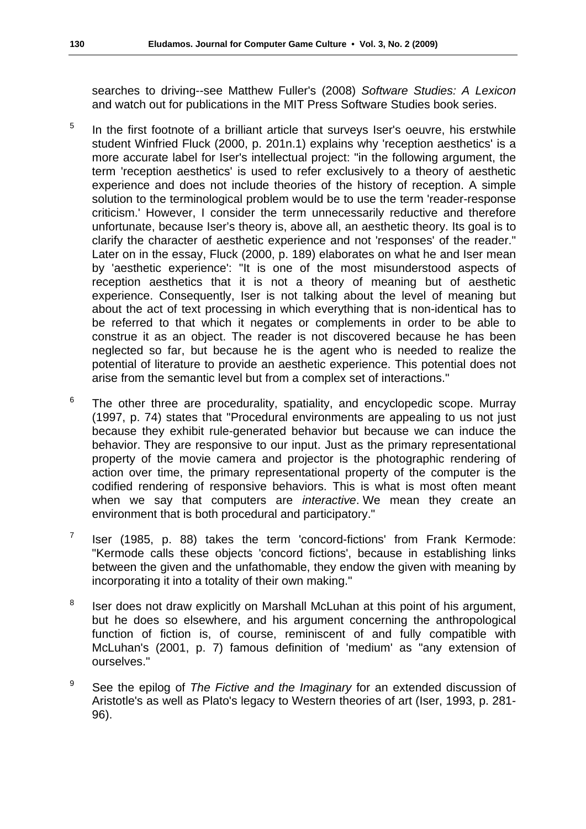searches to driving--see Matthew Fuller's (2008) *Software Studies: A Lexicon* and watch out for publications in the MIT Press Software Studies book series.

- 5 In the first footnote of a brilliant article that surveys Iser's oeuvre, his erstwhile student Winfried Fluck (2000, p. 201n.1) explains why 'reception aesthetics' is a more accurate label for Iser's intellectual project: "in the following argument, the term 'reception aesthetics' is used to refer exclusively to a theory of aesthetic experience and does not include theories of the history of reception. A simple solution to the terminological problem would be to use the term 'reader-response criticism.' However, I consider the term unnecessarily reductive and therefore unfortunate, because Iser's theory is, above all, an aesthetic theory. Its goal is to clarify the character of aesthetic experience and not 'responses' of the reader." Later on in the essay, Fluck (2000, p. 189) elaborates on what he and Iser mean by 'aesthetic experience': "It is one of the most misunderstood aspects of reception aesthetics that it is not a theory of meaning but of aesthetic experience. Consequently, Iser is not talking about the level of meaning but about the act of text processing in which everything that is non-identical has to be referred to that which it negates or complements in order to be able to construe it as an object. The reader is not discovered because he has been neglected so far, but because he is the agent who is needed to realize the potential of literature to provide an aesthetic experience. This potential does not arise from the semantic level but from a complex set of interactions."
- 6 The other three are procedurality, spatiality, and encyclopedic scope. Murray (1997, p. 74) states that "Procedural environments are appealing to us not just because they exhibit rule-generated behavior but because we can induce the behavior. They are responsive to our input. Just as the primary representational property of the movie camera and projector is the photographic rendering of action over time, the primary representational property of the computer is the codified rendering of responsive behaviors. This is what is most often meant when we say that computers are *interactive*. We mean they create an environment that is both procedural and participatory."
- 7 Iser (1985, p. 88) takes the term 'concord-fictions' from Frank Kermode: "Kermode calls these objects 'concord fictions', because in establishing links between the given and the unfathomable, they endow the given with meaning by incorporating it into a totality of their own making."
- 8 Iser does not draw explicitly on Marshall McLuhan at this point of his argument, but he does so elsewhere, and his argument concerning the anthropological function of fiction is, of course, reminiscent of and fully compatible with McLuhan's (2001, p. 7) famous definition of 'medium' as "any extension of ourselves."
- 9 See the epilog of *The Fictive and the Imaginary* for an extended discussion of Aristotle's as well as Plato's legacy to Western theories of art (Iser, 1993, p. 281- 96).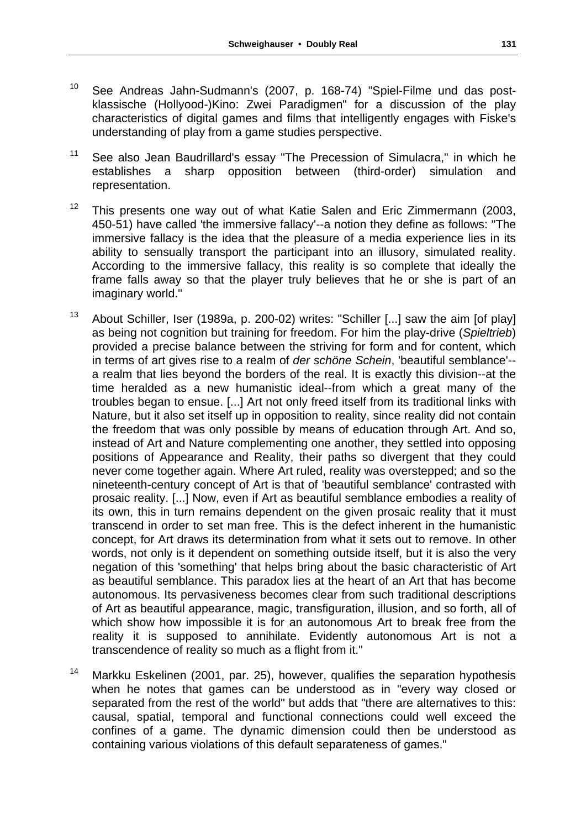- 10 See Andreas Jahn-Sudmann's (2007, p. 168-74) "Spiel-Filme und das postklassische (Hollyood-)Kino: Zwei Paradigmen" for a discussion of the play characteristics of digital games and films that intelligently engages with Fiske's understanding of play from a game studies perspective.
- <sup>11</sup> See also Jean Baudrillard's essay "The Precession of Simulacra," in which he establishes a sharp opposition between (third-order) simulation and representation.
- $12$  This presents one way out of what Katie Salen and Eric Zimmermann (2003, 450-51) have called 'the immersive fallacy'--a notion they define as follows: "The immersive fallacy is the idea that the pleasure of a media experience lies in its ability to sensually transport the participant into an illusory, simulated reality. According to the immersive fallacy, this reality is so complete that ideally the frame falls away so that the player truly believes that he or she is part of an imaginary world."
- 13 About Schiller, Iser (1989a, p. 200-02) writes: "Schiller [...] saw the aim [of play] as being not cognition but training for freedom. For him the play-drive (*Spieltrieb*) provided a precise balance between the striving for form and for content, which in terms of art gives rise to a realm of *der schöne Schein*, 'beautiful semblance'- a realm that lies beyond the borders of the real. It is exactly this division--at the time heralded as a new humanistic ideal--from which a great many of the troubles began to ensue. [...] Art not only freed itself from its traditional links with Nature, but it also set itself up in opposition to reality, since reality did not contain the freedom that was only possible by means of education through Art. And so, instead of Art and Nature complementing one another, they settled into opposing positions of Appearance and Reality, their paths so divergent that they could never come together again. Where Art ruled, reality was overstepped; and so the nineteenth-century concept of Art is that of 'beautiful semblance' contrasted with prosaic reality. [...] Now, even if Art as beautiful semblance embodies a reality of its own, this in turn remains dependent on the given prosaic reality that it must transcend in order to set man free. This is the defect inherent in the humanistic concept, for Art draws its determination from what it sets out to remove. In other words, not only is it dependent on something outside itself, but it is also the very negation of this 'something' that helps bring about the basic characteristic of Art as beautiful semblance. This paradox lies at the heart of an Art that has become autonomous. Its pervasiveness becomes clear from such traditional descriptions of Art as beautiful appearance, magic, transfiguration, illusion, and so forth, all of which show how impossible it is for an autonomous Art to break free from the reality it is supposed to annihilate. Evidently autonomous Art is not a transcendence of reality so much as a flight from it."
- <sup>14</sup> Markku Eskelinen (2001, par. 25), however, qualifies the separation hypothesis when he notes that games can be understood as in "every way closed or separated from the rest of the world" but adds that "there are alternatives to this: causal, spatial, temporal and functional connections could well exceed the confines of a game. The dynamic dimension could then be understood as containing various violations of this default separateness of games."